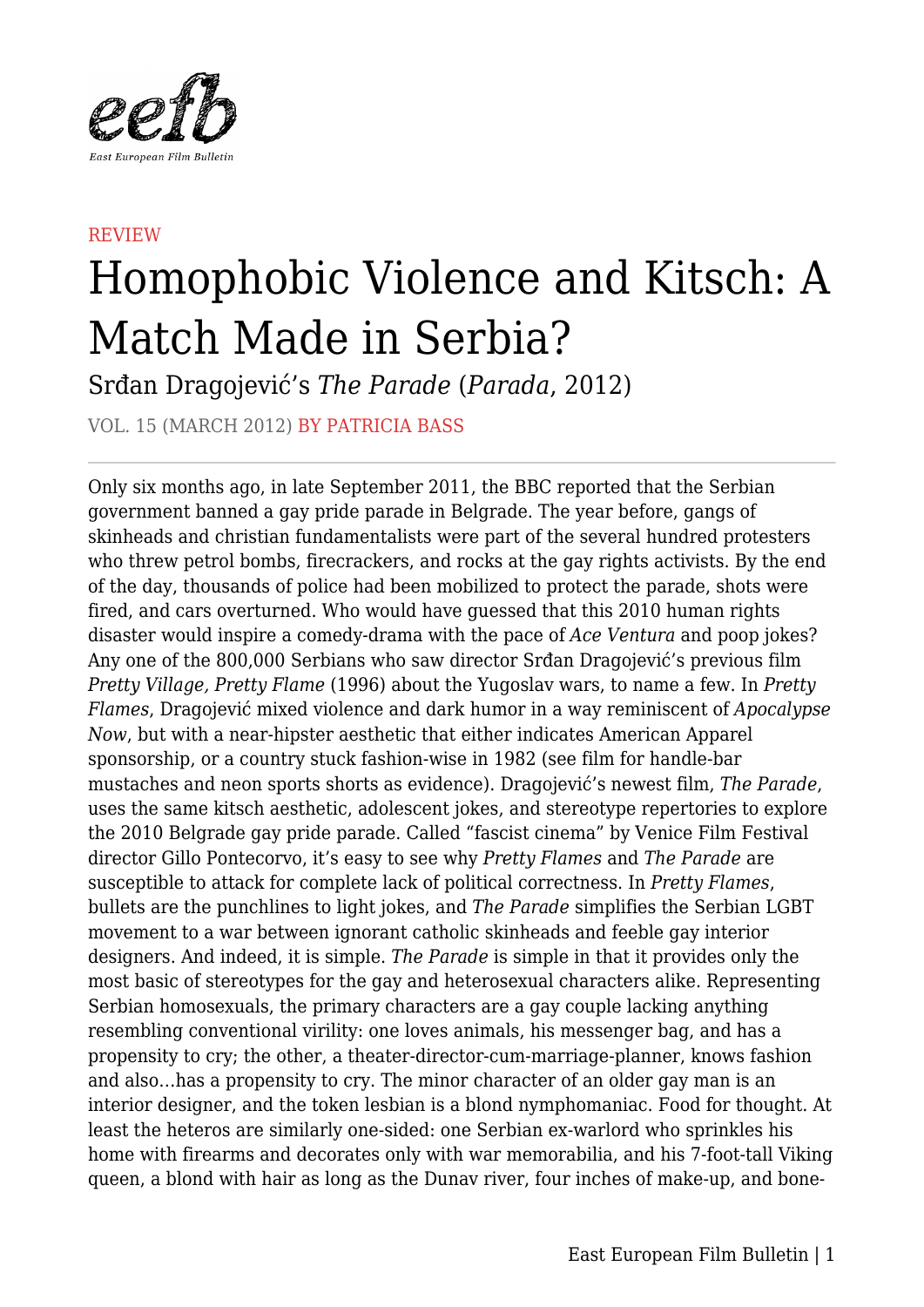

## **REVIEW** Homophobic Violence and Kitsch: A Match Made in Serbia?

Srđan Dragojević's *The Parade* (*Parada*, 2012)

VOL. 15 (MARCH 2012) BY PATRICIA BASS

Only six months ago, in late September 2011, the BBC reported that the Serbian government banned a gay pride parade in Belgrade. The year before, gangs of skinheads and christian fundamentalists were part of the several hundred protesters who threw petrol bombs, firecrackers, and rocks at the gay rights activists. By the end of the day, thousands of police had been mobilized to protect the parade, shots were fired, and cars overturned. Who would have guessed that this 2010 human rights disaster would inspire a comedy-drama with the pace of *Ace Ventura* and poop jokes? Any one of the 800,000 Serbians who saw director Srđan Dragojević's previous film *Pretty Village, Pretty Flame* (1996) about the Yugoslav wars, to name a few. In *Pretty Flames*, Dragojević mixed violence and dark humor in a way reminiscent of *Apocalypse Now*, but with a near-hipster aesthetic that either indicates American Apparel sponsorship, or a country stuck fashion-wise in 1982 (see film for handle-bar mustaches and neon sports shorts as evidence). Dragojević's newest film, *The Parade*, uses the same kitsch aesthetic, adolescent jokes, and stereotype repertories to explore the 2010 Belgrade gay pride parade. Called "fascist cinema" by Venice Film Festival director Gillo Pontecorvo, it's easy to see why *Pretty Flames* and *The Parade* are susceptible to attack for complete lack of political correctness. In *Pretty Flames*, bullets are the punchlines to light jokes, and *The Parade* simplifies the Serbian LGBT movement to a war between ignorant catholic skinheads and feeble gay interior designers. And indeed, it is simple. *The Parade* is simple in that it provides only the most basic of stereotypes for the gay and heterosexual characters alike. Representing Serbian homosexuals, the primary characters are a gay couple lacking anything resembling conventional virility: one loves animals, his messenger bag, and has a propensity to cry; the other, a theater-director-cum-marriage-planner, knows fashion and also…has a propensity to cry. The minor character of an older gay man is an interior designer, and the token lesbian is a blond nymphomaniac. Food for thought. At least the heteros are similarly one-sided: one Serbian ex-warlord who sprinkles his home with firearms and decorates only with war memorabilia, and his 7-foot-tall Viking queen, a blond with hair as long as the Dunav river, four inches of make-up, and bone-